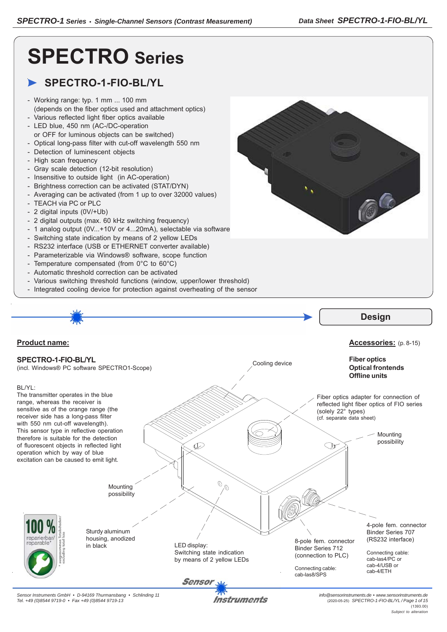66

# **SPECTRO Series**

## **SPECTRO-1-FIO-BL/YL**

- Working range: typ. 1 mm ... 100 mm (depends on the fiber optics used and attachment optics)
- Various reflected light fiber optics available - LED blue, 450 nm (AC-/DC-operation
- or OFF for luminous objects can be switched)
- Optical long-pass filter with cut-off wavelength 550 nm
- Detection of luminescent objects
- High scan frequency
- Gray scale detection (12-bit resolution)
- Insensitive to outside light (in AC-operation)
- Brightness correction can be activated (STAT/DYN)
- Averaging can be activated (from 1 up to over 32000 values)
- TEACH via PC or PLC
- 2 digital inputs (0V/+Ub)
- 2 digital outputs (max. 60 kHz switching frequency)
- 1 analog output (0V...+10V or 4...20mA), selectable via software
- Switching state indication by means of 2 yellow LEDs
- RS232 interface (USB or ETHERNET converter available)
- Parameterizable via Windows® software, scope function
- Temperature compensated (from 0°C to 60°C)
- Automatic threshold correction can be activated
- Various switching threshold functions (window, upper/lower threshold)
- Integrated cooling device for protection against overheating of the sensor



(1393.00) *Subject to alteration*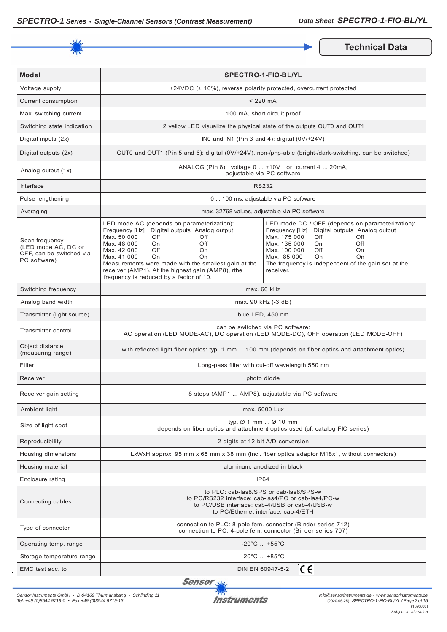

**Technical Data** 

| <b>Model</b>                                                                      | <b>SPECTRO-1-FIO-BL/YL</b>                                                                                                                                                                                                                                                                                                                                          |                                                                                                                                                                                                                                                                                                 |  |
|-----------------------------------------------------------------------------------|---------------------------------------------------------------------------------------------------------------------------------------------------------------------------------------------------------------------------------------------------------------------------------------------------------------------------------------------------------------------|-------------------------------------------------------------------------------------------------------------------------------------------------------------------------------------------------------------------------------------------------------------------------------------------------|--|
| Voltage supply                                                                    |                                                                                                                                                                                                                                                                                                                                                                     | +24VDC (± 10%), reverse polarity protected, overcurrent protected                                                                                                                                                                                                                               |  |
| Current consumption                                                               | $< 220$ mA                                                                                                                                                                                                                                                                                                                                                          |                                                                                                                                                                                                                                                                                                 |  |
| Max. switching current                                                            | 100 mA, short circuit proof                                                                                                                                                                                                                                                                                                                                         |                                                                                                                                                                                                                                                                                                 |  |
| Switching state indication                                                        |                                                                                                                                                                                                                                                                                                                                                                     | 2 yellow LED visualize the physical state of the outputs OUT0 and OUT1                                                                                                                                                                                                                          |  |
| Digital inputs (2x)                                                               |                                                                                                                                                                                                                                                                                                                                                                     | INO and IN1 (Pin 3 and 4): digital (0V/+24V)                                                                                                                                                                                                                                                    |  |
| Digital outputs (2x)                                                              | OUT0 and OUT1 (Pin 5 and 6): digital (0V/+24V), npn-/pnp-able (bright-/dark-switching, can be switched)                                                                                                                                                                                                                                                             |                                                                                                                                                                                                                                                                                                 |  |
| Analog output (1x)                                                                | ANALOG (Pin 8): voltage 0  +10V or current 4  20mA,<br>adjustable via PC software                                                                                                                                                                                                                                                                                   |                                                                                                                                                                                                                                                                                                 |  |
| Interface                                                                         | <b>RS232</b>                                                                                                                                                                                                                                                                                                                                                        |                                                                                                                                                                                                                                                                                                 |  |
| Pulse lengthening                                                                 | 0  100 ms, adjustable via PC software                                                                                                                                                                                                                                                                                                                               |                                                                                                                                                                                                                                                                                                 |  |
| Averaging                                                                         | max. 32768 values, adjustable via PC software                                                                                                                                                                                                                                                                                                                       |                                                                                                                                                                                                                                                                                                 |  |
| Scan frequency<br>(LED mode AC, DC or<br>OFF, can be switched via<br>PC software) | LED mode AC (depends on parameterization):<br>Frequency [Hz] Digital outputs Analog output<br>Max. 50 000<br>Off<br>Off<br>Max. 48 000<br>Off<br>On.<br>Max. 42 000<br>Off<br>On<br>Max. 41 000<br>On<br>On<br>Measurements were made with the smallest gain at the<br>receiver (AMP1). At the highest gain (AMP8), rthe<br>frequency is reduced by a factor of 10. | LED mode DC / OFF (depends on parameterization):<br>Frequency [Hz] Digital outputs Analog output<br>Max. 175 000<br>Off<br>Off<br>Max. 135 000<br>Off<br>On.<br>Max. 100 000<br>Off<br>On<br>Max. 85 000<br><b>On</b><br>On<br>The frequency is independent of the gain set at the<br>receiver. |  |
| Switching frequency                                                               | max. 60 kHz                                                                                                                                                                                                                                                                                                                                                         |                                                                                                                                                                                                                                                                                                 |  |
| Analog band width                                                                 | max. 90 kHz (-3 dB)                                                                                                                                                                                                                                                                                                                                                 |                                                                                                                                                                                                                                                                                                 |  |
| Transmitter (light source)                                                        | blue LED, 450 nm                                                                                                                                                                                                                                                                                                                                                    |                                                                                                                                                                                                                                                                                                 |  |
| Transmitter control                                                               | can be switched via PC software:<br>AC operation (LED MODE-AC), DC operation (LED MODE-DC), OFF operation (LED MODE-OFF)                                                                                                                                                                                                                                            |                                                                                                                                                                                                                                                                                                 |  |
| Object distance<br>(measuring range)                                              | with reflected light fiber optics: typ. 1 mm  100 mm (depends on fiber optics and attachment optics)                                                                                                                                                                                                                                                                |                                                                                                                                                                                                                                                                                                 |  |
| Filter                                                                            | Long-pass filter with cut-off wavelength 550 nm                                                                                                                                                                                                                                                                                                                     |                                                                                                                                                                                                                                                                                                 |  |
| Receiver                                                                          | photo diode                                                                                                                                                                                                                                                                                                                                                         |                                                                                                                                                                                                                                                                                                 |  |
| Receiver gain setting                                                             | 8 steps (AMP1  AMP8), adjustable via PC software                                                                                                                                                                                                                                                                                                                    |                                                                                                                                                                                                                                                                                                 |  |
| Ambient light                                                                     | max. 5000 Lux                                                                                                                                                                                                                                                                                                                                                       |                                                                                                                                                                                                                                                                                                 |  |
| Size of light spot                                                                | typ. $\varnothing$ 1 mm $\varnothing$ 10 mm<br>depends on fiber optics and attachment optics used (cf. catalog FIO series)                                                                                                                                                                                                                                          |                                                                                                                                                                                                                                                                                                 |  |
| Reproducibility                                                                   | 2 digits at 12-bit A/D conversion                                                                                                                                                                                                                                                                                                                                   |                                                                                                                                                                                                                                                                                                 |  |
| Housing dimensions                                                                | LxWxH approx. 95 mm x 65 mm x 38 mm (incl. fiber optics adaptor M18x1, without connectors)                                                                                                                                                                                                                                                                          |                                                                                                                                                                                                                                                                                                 |  |
| Housing material                                                                  | aluminum, anodized in black                                                                                                                                                                                                                                                                                                                                         |                                                                                                                                                                                                                                                                                                 |  |
| Enclosure rating                                                                  | IP <sub>64</sub>                                                                                                                                                                                                                                                                                                                                                    |                                                                                                                                                                                                                                                                                                 |  |
| Connecting cables                                                                 | to PLC: cab-las8/SPS or cab-las8/SPS-w<br>to PC/RS232 interface: cab-las4/PC or cab-las4/PC-w<br>to PC/USB interface: cab-4/USB or cab-4/USB-w<br>to PC/Ethernet interface: cab-4/ETH                                                                                                                                                                               |                                                                                                                                                                                                                                                                                                 |  |
| Type of connector                                                                 | connection to PLC: 8-pole fem. connector (Binder series 712)<br>connection to PC: 4-pole fem. connector (Binder series 707)                                                                                                                                                                                                                                         |                                                                                                                                                                                                                                                                                                 |  |
| Operating temp. range                                                             | $-20^{\circ}$ C  +55 $^{\circ}$ C                                                                                                                                                                                                                                                                                                                                   |                                                                                                                                                                                                                                                                                                 |  |
| Storage temperature range                                                         | $-20^{\circ}$ C $$ +85 $^{\circ}$ C                                                                                                                                                                                                                                                                                                                                 |                                                                                                                                                                                                                                                                                                 |  |
| EMC test acc. to                                                                  | CE<br>DIN EN 60947-5-2                                                                                                                                                                                                                                                                                                                                              |                                                                                                                                                                                                                                                                                                 |  |

Sensor<sub>N</sub>

*Sensor Instruments GmbH • D-94169 Thurmansbang • Schlinding 11 Tel. +49 (0)8544 9719-0 • Fax +49 (0)8544 9719-13*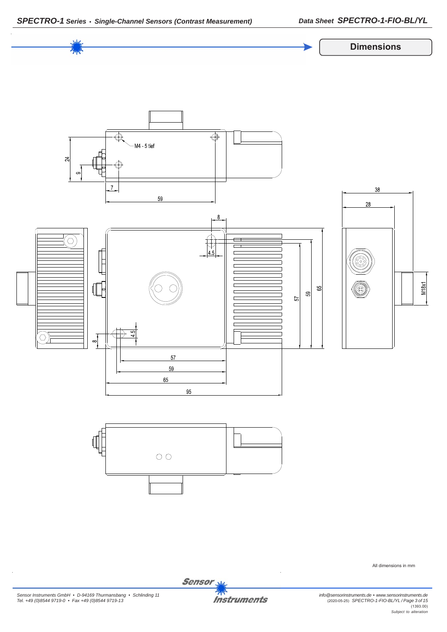



All dimensions in mm

*Sensor Instruments GmbH • D-94169 Thurmansbang • Schlinding 11 Tel. +49 (0)8544 9719-0 • Fax +49 (0)8544 9719-13*

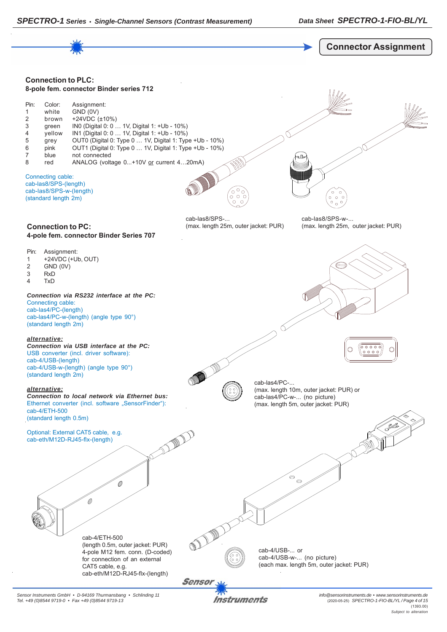



*Sensor Instruments GmbH • D-94169 Thurmansbang • Schlinding 11 Tel. +49 (0)8544 9719-0 • Fax +49 (0)8544 9719-13*

Instruments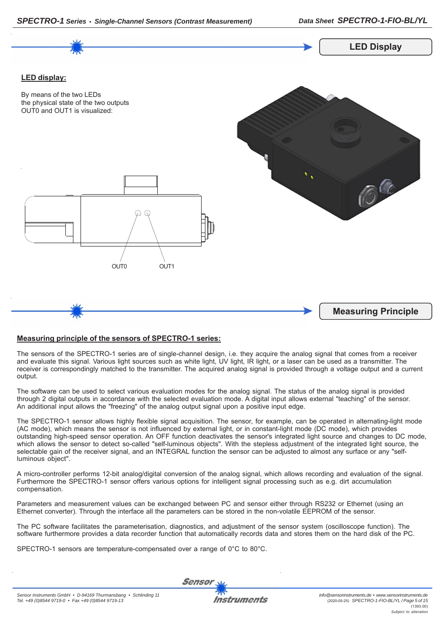

## **Measuring principle of the sensors of SPECTRO-1 series:**

The sensors of the SPECTRO-1 series are of single-channel design, i.e. they acquire the analog signal that comes from a receiver and evaluate this signal. Various light sources such as white light, UV light, IR light, or a laser can be used as a transmitter. The receiver is correspondingly matched to the transmitter. The acquired analog signal is provided through a voltage output and a current output.

The software can be used to select various evaluation modes for the analog signal. The status of the analog signal is provided through 2 digital outputs in accordance with the selected evaluation mode. A digital input allows external "teaching" of the sensor. An additional input allows the "freezing" of the analog output signal upon a positive input edge.

The SPECTRO-1 sensor allows highly flexible signal acquisition. The sensor, for example, can be operated in alternating-light mode (AC mode), which means the sensor is not influenced by external light, or in constant-light mode (DC mode), which provides outstanding high-speed sensor operation. An OFF function deactivates the sensor's integrated light source and changes to DC mode, which allows the sensor to detect so-called "self-luminous objects". With the stepless adjustment of the integrated light source, the selectable gain of the receiver signal, and an INTEGRAL function the sensor can be adjusted to almost any surface or any "selfluminous object".

A micro-controller performs 12-bit analog/digital conversion of the analog signal, which allows recording and evaluation of the signal. Furthermore the SPECTRO-1 sensor offers various options for intelligent signal processing such as e.g. dirt accumulation compensation.

Parameters and measurement values can be exchanged between PC and sensor either through RS232 or Ethernet (using an Ethernet converter). Through the interface all the parameters can be stored in the non-volatile EEPROM of the sensor.

The PC software facilitates the parameterisation, diagnostics, and adjustment of the sensor system (oscilloscope function). The software furthermore provides a data recorder function that automatically records data and stores them on the hard disk of the PC.

SPECTRO-1 sensors are temperature-compensated over a range of 0°C to 80°C.

**Sensor** 

Instruments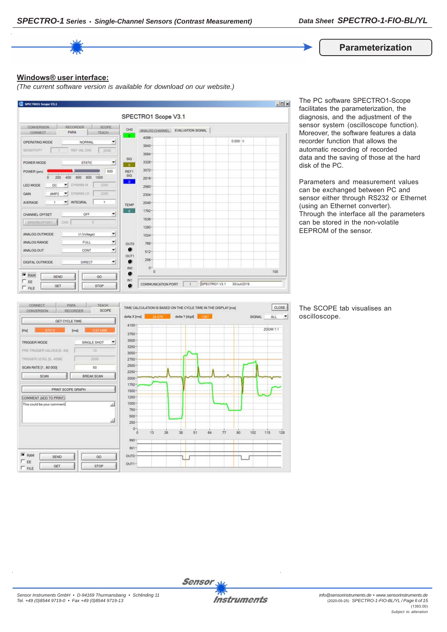**Parameterization**

## **Windows® user interface:**

*(The current software version is available for download on our website.)*



The PC software SPECTRO1-Scope facilitates the parameterization, the diagnosis, and the adjustment of the sensor system (oscilloscope function). Moreover, the software features a data recorder function that allows the automatic recording of recorded data and the saving of those at the hard disk of the PC.

Parameters and measurement values can be exchanged between PC and sensor either through RS232 or Ethernet (using an Ethernet converter). Through the interface all the parameters can be stored in the non-volatile EEPROM of the sensor.



The SCOPE tab visualises an oscilloscope.

 $\left| \cdot \right|$ 

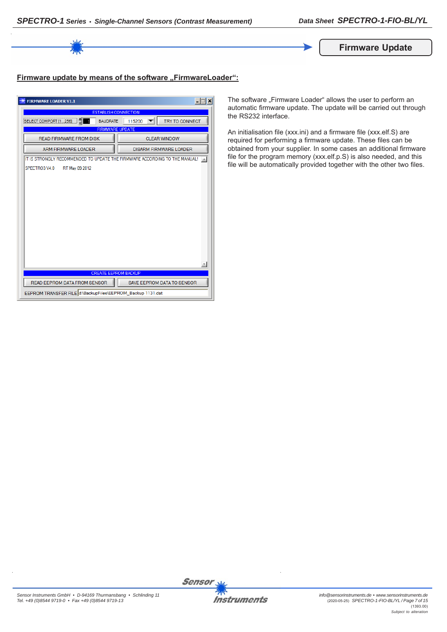

## Firmware update by means of the software "FirmwareLoader":

| <b>FIRMWARE LOADER V1.1</b>                                                | $-1$<br>$\boldsymbol{\times}$   |  |  |
|----------------------------------------------------------------------------|---------------------------------|--|--|
| <b>ESTABLISH CONNECTION</b>                                                |                                 |  |  |
| SELECT COMPORT [1256]<br><b>BAUDRATE</b>                                   | <b>TRY TO CONNECT</b><br>115200 |  |  |
| <b>FIRMWARE UPDATE</b>                                                     |                                 |  |  |
| <b>READ FIRMWARE FROM DISK</b>                                             | <b>CLEAR WINDOW</b>             |  |  |
| <b>ARM FIRMWARE LOADER</b>                                                 | <b>DISARM FIRMWARE LOADER</b>   |  |  |
| IT IS STRONGLY RECOMMENDED TO UPDATE THE FIRMWARE ACCORDING TO THE MANUAL! |                                 |  |  |
| SPECTRO3 V4.0<br>RT May 09 2012                                            |                                 |  |  |
|                                                                            |                                 |  |  |
|                                                                            |                                 |  |  |
|                                                                            |                                 |  |  |
|                                                                            |                                 |  |  |
|                                                                            |                                 |  |  |
|                                                                            |                                 |  |  |
|                                                                            |                                 |  |  |
|                                                                            |                                 |  |  |
|                                                                            |                                 |  |  |
|                                                                            |                                 |  |  |
|                                                                            |                                 |  |  |
| <b>CREATE EEPROM BACKUP</b>                                                |                                 |  |  |
| READ EEPROM DATA FROM SENSOR                                               | SAVE EEPROM DATA TO SENSOR      |  |  |
| EEPROM TRANSFER FILE d:\BackupFiles\EEPROM_Backup 1131.dat                 |                                 |  |  |

The software "Firmware Loader" allows the user to perform an automatic firmware update. The update will be carried out through the RS232 interface.

An initialisation file (xxx.ini) and a firmware file (xxx.elf.S) are required for performing a firmware update. These files can be obtained from your supplier. In some cases an additional firmware file for the program memory (xxx.elf.p.S) is also needed, and this file will be automatically provided together with the other two files.

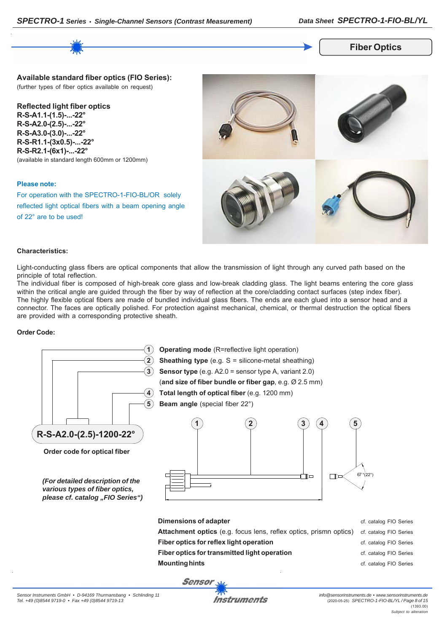

**Fiber Optics**

**Available standard fiber optics (FIO Series):** (further types of fiber optics available on request)

**Reflected light fiber optics R-S-A1.1-(1.5)-...-22° R-S-A2.0-(2.5)-...-22° R-S-A3.0-(3.0)-...-22° R-S-R1.1-(3x0.5)-...-22° R-S-R2.1-(6x1)-...-22°** (available in standard length 600mm or 1200mm)

### **Please note:**

For operation with the SPECTRO-1-FIO-BL/OR solely reflected light optical fibers with a beam opening angle of 22° are to be used!



## **Characteristics:**

Light-conducting glass fibers are optical components that allow the transmission of light through any curved path based on the principle of total reflection.

The individual fiber is composed of high-break core glass and low-break cladding glass. The light beams entering the core glass within the critical angle are guided through the fiber by way of reflection at the core/cladding contact surfaces (step index fiber). The highly flexible optical fibers are made of bundled individual glass fibers. The ends are each glued into a sensor head and a connector. The faces are optically polished. For protection against mechanical, chemical, or thermal destruction the optical fibers are provided with a corresponding protective sheath.

### **Order Code:**

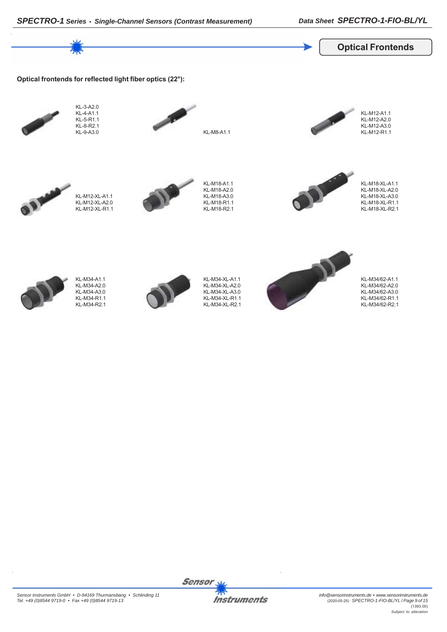

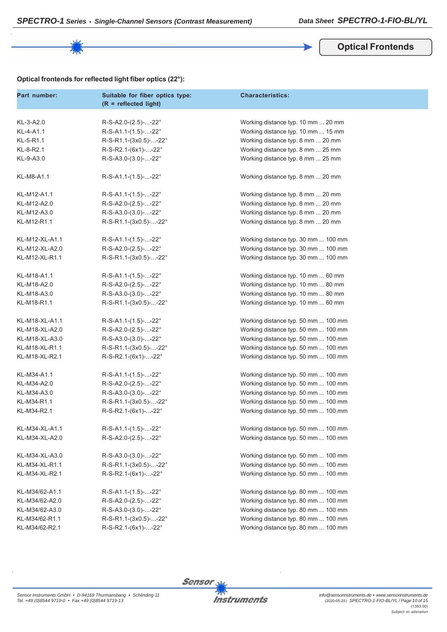**Optical Frontends**

## **Optical frontends for reflected light fiber optics (22°):**

| Part number:   | Suitable for fiber optics type:<br>$(R = reflected light)$ | <b>Characteristics:</b>             |
|----------------|------------------------------------------------------------|-------------------------------------|
|                |                                                            |                                     |
| KL-3-A2.0      | R-S-A2.0-(2.5)--22°                                        | Working distance typ. 10 mm  20 mm  |
| KL-4-A1.1      | $R-S-A1.1-(1.5)$ --22°                                     | Working distance typ. 10 mm  15 mm  |
| KL-5-R1.1      | R-S-R1.1-(3x0.5)--22°                                      | Working distance typ. 8 mm  20 mm   |
| KL-8-R2.1      | R-S-R2.1-(6x1)--22°                                        | Working distance typ. 8 mm  25 mm   |
| KL-9-A3.0      | $R-S-A3.0-(3.0)$ --22°                                     | Working distance typ. 8 mm  25 mm   |
| KL-M8-A1.1     | $R-S-A1.1-(1.5)--22^{\circ}$                               | Working distance typ. 8 mm  20 mm   |
| KL-M12-A1.1    | $R-S-A1.1-(1.5)--22^{\circ}$                               | Working distance typ. 8 mm  20 mm   |
| KL-M12-A2.0    | R-S-A2.0-(2.5)--22°                                        | Working distance typ. 8 mm  20 mm   |
| KL-M12-A3.0    | R-S-A3.0-(3.0)--22°                                        | Working distance typ. 8 mm  20 mm   |
| KL-M12-R1.1    | R-S-R1.1-(3x0.5)--22°                                      | Working distance typ. 8 mm  20 mm   |
| KL-M12-XL-A1.1 | R-S-A1.1-(1.5)--22°                                        | Working distance typ. 30 mm  100 mm |
| KL-M12-XL-A2.0 | R-S-A2.0-(2.5)--22°                                        | Working distance typ. 30 mm  100 mm |
| KL-M12-XL-R1.1 | R-S-R1.1-(3x0.5)--22°                                      | Working distance typ. 30 mm  100 mm |
| KL-M18-A1.1    | R-S-A1.1-(1.5)--22°                                        | Working distance typ. 10 mm  60 mm  |
| KL-M18-A2.0    | R-S-A2.0-(2.5)--22°                                        | Working distance typ. 10 mm  80 mm  |
| KL-M18-A3.0    | R-S-A3.0-(3.0)--22°                                        | Working distance typ. 10 mm  80 mm  |
| KL-M18-R1.1    | R-S-R1.1-(3x0.5)--22°                                      | Working distance typ. 10 mm  60 mm  |
|                |                                                            |                                     |
| KL-M18-XL-A1.1 | $R-S-A1.1-(1.5)$ --22°                                     | Working distance typ. 50 mm  100 mm |
| KL-M18-XL-A2.0 | R-S-A2.0-(2.5)--22°                                        | Working distance typ. 50 mm  100 mm |
| KL-M18-XL-A3.0 | R-S-A3.0-(3.0)--22°                                        | Working distance typ. 50 mm  100 mm |
| KL-M18-XL-R1.1 | R-S-R1.1-(3x0.5)--22°                                      | Working distance typ. 50 mm  100 mm |
| KL-M18-XL-R2.1 | R-S-R2.1-(6x1)--22°                                        | Working distance typ. 50 mm  100 mm |
| KL-M34-A1.1    | $R-S-A1.1-(1.5)$ --22°                                     | Working distance typ. 50 mm  100 mm |
| KL-M34-A2.0    | R-S-A2.0-(2.5)--22°                                        | Working distance typ. 50 mm  100 mm |
| KL-M34-A3.0    | R-S-A3.0-(3.0)--22°                                        | Working distance typ. 50 mm  100 mm |
| KL-M34-R1.1    | R-S-R1.1-(3x0.5)--22°                                      | Working distance typ. 50 mm  100 mm |
| KL-M34-R2.1    | R-S-R2.1-(6x1)--22°                                        | Working distance typ. 50 mm  100 mm |
| KL-M34-XL-A1.1 | $R-S-A1.1-(1.5)$ --22°                                     | Working distance typ. 50 mm  100 mm |
| KL-M34-XL-A2.0 | R-S-A2.0-(2.5)--22°                                        | Working distance typ. 50 mm  100 mm |
| KL-M34-XL-A3.0 | $R-S-A3.0-(3.0)$ --22°                                     | Working distance typ. 50 mm  100 mm |
| KL-M34-XL-R1.1 | R-S-R1.1-(3x0.5)--22°                                      | Working distance typ. 50 mm  100 mm |
| KL-M34-XL-R2.1 | R-S-R2.1-(6x1)--22°                                        | Working distance typ. 50 mm  100 mm |
| KL-M34/62-A1.1 | $R-S-A1.1-(1.5)$ --22°                                     | Working distance typ. 80 mm  100 mm |
| KL-M34/62-A2.0 | R-S-A2.0-(2.5)--22°                                        | Working distance typ. 80 mm  100 mm |
| KL-M34/62-A3.0 | $R-S-A3.0-(3.0)$ --22°                                     | Working distance typ. 80 mm  100 mm |
| KL-M34/62-R1.1 | R-S-R1.1-(3x0.5)--22°                                      | Working distance typ. 80 mm  100 mm |
| KL-M34/62-R2.1 | R-S-R2.1-(6x1)--22°                                        | Working distance typ. 80 mm  100 mm |
|                |                                                            |                                     |

Sensor<sub>N</sub>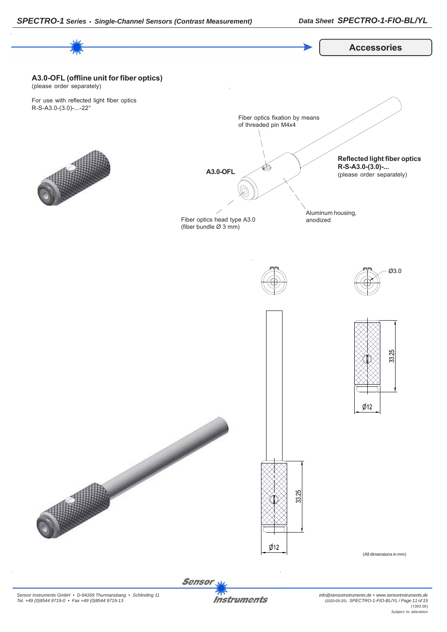

Sensor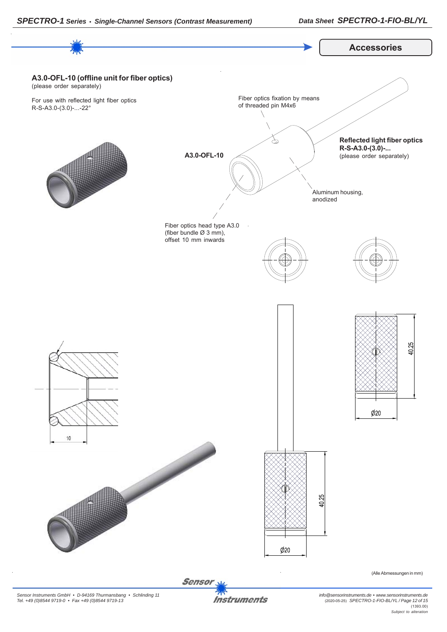

**Instruments**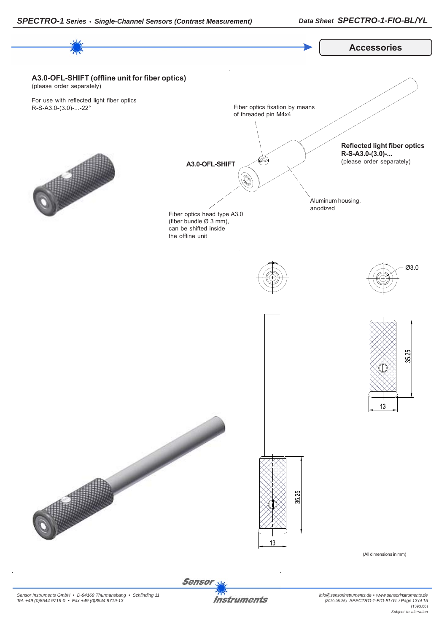

Sensor **Instruments**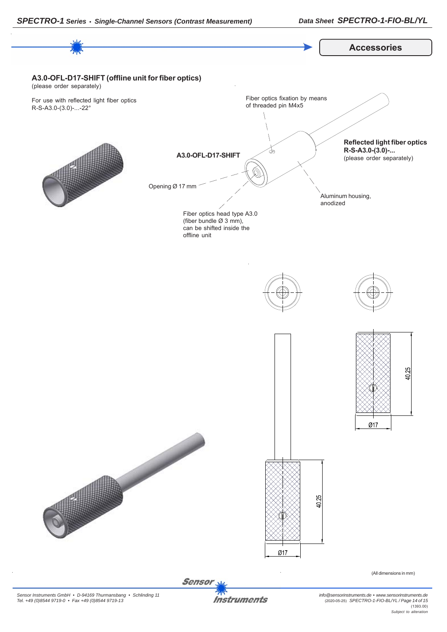



*Sensor Instruments GmbH • D-94169 Thurmansbang • Schlinding 11 Tel. +49 (0)8544 9719-0 • Fax +49 (0)8544 9719-13*

**Instruments** 

*info@sensorinstruments.de • www.sensorinstruments.de* (2020-05-25) *SPECTRO-1-FIO-BL/YL / Page 14 of 15* (1393.00) *Subject to alteration*